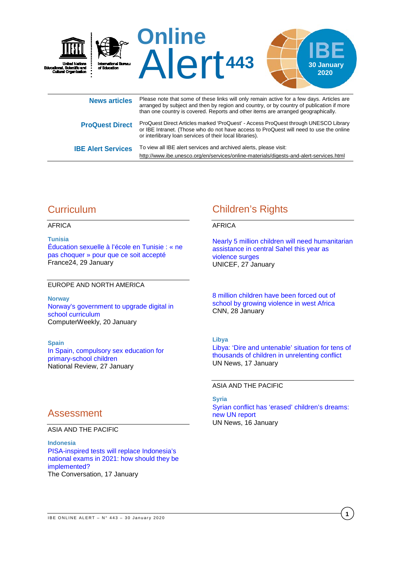

| <b>ProQuest Direct</b>    | ProQuest Direct Articles marked 'ProQuest' - Access ProQuest through UNESCO Library<br>or IBE Intranet. (Those who do not have access to ProQuest will need to use the online<br>or interlibrary loan services of their local libraries). |
|---------------------------|-------------------------------------------------------------------------------------------------------------------------------------------------------------------------------------------------------------------------------------------|
| <b>IBE Alert Services</b> | To view all IBE alert services and archived alerts, please visit:                                                                                                                                                                         |

# **Curriculum**

### AFRICA

**Tunisia**

[Éducation sexuelle à l'école en Tunisie : «](https://www.france24.com/fr/20200129-%C3%A9ducation-sexuelle-%C3%A0-l-%C3%A9cole-en-tunisie%C2%A0-ne-pas-choquer-pour-que-ce-soit-accept%C3%A9) ne pas choquer [» pour que ce soit accepté](https://www.france24.com/fr/20200129-%C3%A9ducation-sexuelle-%C3%A0-l-%C3%A9cole-en-tunisie%C2%A0-ne-pas-choquer-pour-que-ce-soit-accept%C3%A9) France24, 29 January

### EUROPE AND NORTH AMERICA

**Norway** [Norway's government to upgrade digital in](https://www.computerweekly.com/news/252476995/Norways-government-to-upgrade-digital-in-school-curriculum)  [school curriculum](https://www.computerweekly.com/news/252476995/Norways-government-to-upgrade-digital-in-school-curriculum)  ComputerWeekly, 20 January

**Spain**

[In Spain, compulsory sex education for](https://www.nationalreview.com/2020/01/spain-compulsory-sex-education-for-primary-school-children/)  [primary-school children](https://www.nationalreview.com/2020/01/spain-compulsory-sex-education-for-primary-school-children/) National Review, 27 January

# Assessment

#### ASIA AND THE PACIFIC

**Indonesia** [PISA-inspired tests will replace Indonesia's](https://theconversation.com/pisa-inspired-tests-will-replace-indonesias-national-exams-in-2021-how-should-they-be-implemented-129462)  [national exams in 2021: how should they be](https://theconversation.com/pisa-inspired-tests-will-replace-indonesias-national-exams-in-2021-how-should-they-be-implemented-129462)  [implemented?](https://theconversation.com/pisa-inspired-tests-will-replace-indonesias-national-exams-in-2021-how-should-they-be-implemented-129462) The Conversation, 17 January

# Children's Rights

<http://www.ibe.unesco.org/en/services/online-materials/digests-and-alert-services.html>

#### AFRICA

[Nearly 5 million children will need humanitarian](https://www.unicef.org/press-releases/nearly-5-million-children-will-need-humanitarian-assistance-central-sahel-year)  [assistance in central Sahel this year as](https://www.unicef.org/press-releases/nearly-5-million-children-will-need-humanitarian-assistance-central-sahel-year)  [violence surges](https://www.unicef.org/press-releases/nearly-5-million-children-will-need-humanitarian-assistance-central-sahel-year) UNICEF, 27 January

[8 million children have been forced out of](https://edition.cnn.com/2020/01/28/africa/sahel-violence-unicef-burkina-faso-intl/index.html)  [school by growing violence in west Africa](https://edition.cnn.com/2020/01/28/africa/sahel-violence-unicef-burkina-faso-intl/index.html) CNN, 28 January

#### **Libya**

[Libya: 'Dire and untenable' situation for tens of](https://news.un.org/en/story/2020/01/1055492)  [thousands of children in unrelenting conflict](https://news.un.org/en/story/2020/01/1055492) UN News, 17 January

ASIA AND THE PACIFIC

**Syria** [Syrian conflict has 'erased' children's dreams:](https://news.un.org/en/story/2020/01/1055412)  [new UN report](https://news.un.org/en/story/2020/01/1055412) UN News, 16 January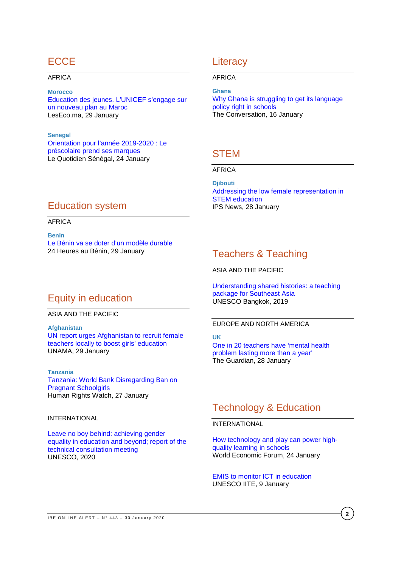## **ECCE**

#### AFRICA

#### **Morocco**

[Education des jeunes. L'UNICEF s'engage sur](https://leseco.ma/education-des-jeunes-lunicef-sengage-sur-un-nouveau-plan-au-maroc/)  [un nouveau plan au Maroc](https://leseco.ma/education-des-jeunes-lunicef-sengage-sur-un-nouveau-plan-au-maroc/) LesEco.ma, 29 January

**Senegal** [Orientation pour l'année 2019-2020 : Le](https://www.lequotidien.sn/orientation-pour-lannee-2019-2020-le-prescolaire-prend-ses-marques/)  [préscolaire prend ses marques](https://www.lequotidien.sn/orientation-pour-lannee-2019-2020-le-prescolaire-prend-ses-marques/) Le Quotidien Sénégal, 24 January

## **Literacy**

#### AFRICA

**Ghana** [Why Ghana is struggling to get its language](https://theconversation.com/why-ghana-is-struggling-to-get-its-language-policy-right-in-schools-120814)  [policy right in schools](https://theconversation.com/why-ghana-is-struggling-to-get-its-language-policy-right-in-schools-120814) The Conversation, 16 January

## **STEM**

### AFRICA

**Djibouti** [Addressing the low female representation in](http://www.ipsnews.net/2020/01/addressing-low-female-representation-stem-education/)  [STEM education](http://www.ipsnews.net/2020/01/addressing-low-female-representation-stem-education/) IPS News, 28 January

## Education system

#### AFRICA

**Benin** [Le Bénin va se doter d'un modèle durable](https://www.24haubenin.info/?Le-Benin-va-se-doter-d-un-modele-durable) 24 Heures au Bénin, 29 January

# Equity in education

#### ASIA AND THE PACIFIC

**Afghanistan** [UN report urges Afghanistan to recruit female](https://unama.unmissions.org/un-report-urges-afghanistan-recruit-female-teachers-locally-boost-girls%E2%80%99-education)  [teachers locally to boost girls' education](https://unama.unmissions.org/un-report-urges-afghanistan-recruit-female-teachers-locally-boost-girls%E2%80%99-education) UNAMA, 29 January

#### **Tanzania**

[Tanzania: World Bank Disregarding Ban on](https://www.hrw.org/news/2020/01/27/tanzania-world-bank-disregarding-ban-pregnant-schoolgirls)  [Pregnant Schoolgirls](https://www.hrw.org/news/2020/01/27/tanzania-world-bank-disregarding-ban-pregnant-schoolgirls) Human Rights Watch, 27 January

#### INTERNATIONAL

[Leave no boy behind: achieving gender](https://unesdoc.unesco.org/ark:/48223/pf0000372587?posInSet=30&queryId=N-aa1a7e80-0750-41eb-b660-ddc2dd88fc92)  [equality in education and beyond; report of the](https://unesdoc.unesco.org/ark:/48223/pf0000372587?posInSet=30&queryId=N-aa1a7e80-0750-41eb-b660-ddc2dd88fc92)  [technical consultation meeting](https://unesdoc.unesco.org/ark:/48223/pf0000372587?posInSet=30&queryId=N-aa1a7e80-0750-41eb-b660-ddc2dd88fc92)  UNESCO, 2020

## Teachers & Teaching

ASIA AND THE PACIFIC

[Understanding shared histories: a teaching](https://unesdoc.unesco.org/ark:/48223/pf0000372482?posInSet=36&queryId=N-afa67465-35b5-45f9-8186-e9f665bb5577)  [package for Southeast Asia](https://unesdoc.unesco.org/ark:/48223/pf0000372482?posInSet=36&queryId=N-afa67465-35b5-45f9-8186-e9f665bb5577) UNESCO Bangkok, 2019

#### EUROPE AND NORTH AMERICA

**UK** [One in 20 teachers have 'mental health](https://www.theguardian.com/education/2020/jan/28/one-in-20-teachers-have-mental-health-problem-lasting-more-than-a-year)  [problem lasting more than a year'](https://www.theguardian.com/education/2020/jan/28/one-in-20-teachers-have-mental-health-problem-lasting-more-than-a-year) The Guardian, 28 January

# Technology & Education

### INTERNATIONAL

[How technology and play can power high](https://www.weforum.org/agenda/2020/01/technology-education-edtech-play-learning/)[quality learning in schools](https://www.weforum.org/agenda/2020/01/technology-education-edtech-play-learning/)  World Economic Forum, 24 January

#### [EMIS to monitor ICT in education](https://iite.unesco.org/highlights/emis-and-ict-in-education/) UNESCO IITE, 9 January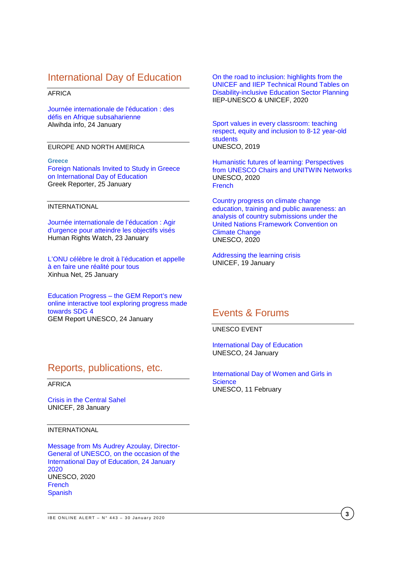## International Day of Education

#### AFRICA

[Journée internationale de l'éducation : des](https://www.alwihdainfo.com/Journee-internationale-de-l-education-des-defis-en-Afrique-subsaharienne_a81771.html)  [défis en Afrique subsaharienne](https://www.alwihdainfo.com/Journee-internationale-de-l-education-des-defis-en-Afrique-subsaharienne_a81771.html)  Alwihda info, 24 January

#### EUROPE AND NORTH AMERICA

#### **Greece**

[Foreign Nationals Invited to Study in Greece](https://greece.greekreporter.com/2020/01/25/foreign-nationals-invited-to-study-in-greece-on-international-day-of-education/)  [on International Day of Education](https://greece.greekreporter.com/2020/01/25/foreign-nationals-invited-to-study-in-greece-on-international-day-of-education/) Greek Reporter, 25 January

#### INTERNATIONAL

[Journée internationale de l'éducation : Agir](https://www.hrw.org/fr/news/2020/01/23/journee-internationale-de-leducation-agir-durgence-pour-atteindre-les-objectifs)  [d'urgence pour atteindre les objectifs visés](https://www.hrw.org/fr/news/2020/01/23/journee-internationale-de-leducation-agir-durgence-pour-atteindre-les-objectifs)  Human Rights Watch, 23 January

[L'ONU célèbre le droit à l'éducation et appelle](http://french.xinhuanet.com/2020-01/25/c_138732729.htm)  [à en faire une réalité pour tous](http://french.xinhuanet.com/2020-01/25/c_138732729.htm) Xinhua Net, 25 January

Education Progress – [the GEM Report's new](https://gemreportunesco.wordpress.com/2020/01/24/education-progress-the-gem-reports-new-online-interactive-tool-exploring-progress-made-towards-sdg-4/)  [online interactive tool exploring progress made](https://gemreportunesco.wordpress.com/2020/01/24/education-progress-the-gem-reports-new-online-interactive-tool-exploring-progress-made-towards-sdg-4/)  [towards SDG 4](https://gemreportunesco.wordpress.com/2020/01/24/education-progress-the-gem-reports-new-online-interactive-tool-exploring-progress-made-towards-sdg-4/) GEM Report UNESCO, 24 January

[On the road to inclusion: highlights from the](https://unesdoc.unesco.org/ark:/48223/pf0000372193?posInSet=56&queryId=N-afa67465-35b5-45f9-8186-e9f665bb5577)  [UNICEF and IIEP Technical Round Tables on](https://unesdoc.unesco.org/ark:/48223/pf0000372193?posInSet=56&queryId=N-afa67465-35b5-45f9-8186-e9f665bb5577)  [Disability-inclusive Education Sector Planning](https://unesdoc.unesco.org/ark:/48223/pf0000372193?posInSet=56&queryId=N-afa67465-35b5-45f9-8186-e9f665bb5577) IIEP-UNESCO & UNICEF, 2020

[Sport values in every classroom: teaching](https://unesdoc.unesco.org/ark:/48223/pf0000371303?posInSet=85&queryId=N-afa67465-35b5-45f9-8186-e9f665bb5577)  [respect, equity and inclusion to 8-12 year-old](https://unesdoc.unesco.org/ark:/48223/pf0000371303?posInSet=85&queryId=N-afa67465-35b5-45f9-8186-e9f665bb5577)  [students](https://unesdoc.unesco.org/ark:/48223/pf0000371303?posInSet=85&queryId=N-afa67465-35b5-45f9-8186-e9f665bb5577) UNESCO, 2019

[Humanistic futures of learning: Perspectives](https://unesdoc.unesco.org/ark:/48223/pf0000372577?posInSet=29&queryId=N-aa1a7e80-0750-41eb-b660-ddc2dd88fc92)  [from UNESCO Chairs and UNITWIN Networks](https://unesdoc.unesco.org/ark:/48223/pf0000372577?posInSet=29&queryId=N-aa1a7e80-0750-41eb-b660-ddc2dd88fc92) UNESCO, 2020 [French](https://unesdoc.unesco.org/ark:/48223/pf0000372578?posInSet=28&queryId=N-aa1a7e80-0750-41eb-b660-ddc2dd88fc92)

[Country progress on climate change](https://unesdoc.unesco.org/ark:/48223/pf0000372164?posInSet=84&queryId=N-aa1a7e80-0750-41eb-b660-ddc2dd88fc92)  [education, training and public awareness: an](https://unesdoc.unesco.org/ark:/48223/pf0000372164?posInSet=84&queryId=N-aa1a7e80-0750-41eb-b660-ddc2dd88fc92)  [analysis of country submissions under the](https://unesdoc.unesco.org/ark:/48223/pf0000372164?posInSet=84&queryId=N-aa1a7e80-0750-41eb-b660-ddc2dd88fc92)  [United Nations Framework Convention on](https://unesdoc.unesco.org/ark:/48223/pf0000372164?posInSet=84&queryId=N-aa1a7e80-0750-41eb-b660-ddc2dd88fc92)  [Climate Change](https://unesdoc.unesco.org/ark:/48223/pf0000372164?posInSet=84&queryId=N-aa1a7e80-0750-41eb-b660-ddc2dd88fc92) UNESCO, 2020

[Addressing the learning crisis](https://www.unicef.org/reports/addressing-learning-crisis-2020) UNICEF, 19 January

## Events & Forums

UNESCO EVENT

[International Day of Education](https://en.unesco.org/commemorations/educationday) UNESCO, 24 January

[International Day of Women and Girls in](https://en.unesco.org/events/international-day-women-and-girls-science)  **[Science](https://en.unesco.org/events/international-day-women-and-girls-science)** UNESCO, 11 February

## Reports, publications, etc.

#### AFRICA

[Crisis in the Central Sahel](https://www.unicef.org/reports/central-sahel-advocacy-brief-2020) UNICEF, 28 January

#### INTERNATIONAL

[Message from Ms Audrey Azoulay, Director-](https://unesdoc.unesco.org/ark:/48223/pf0000372501_eng)[General of UNESCO, on the occasion of the](https://unesdoc.unesco.org/ark:/48223/pf0000372501_eng)  [International Day of Education, 24 January](https://unesdoc.unesco.org/ark:/48223/pf0000372501_eng)  [2020](https://unesdoc.unesco.org/ark:/48223/pf0000372501_eng) UNESCO, 2020 **[French](https://unesdoc.unesco.org/ark:/48223/pf0000372501)** [Spanish](https://unesdoc.unesco.org/ark:/48223/pf0000372501_spa)